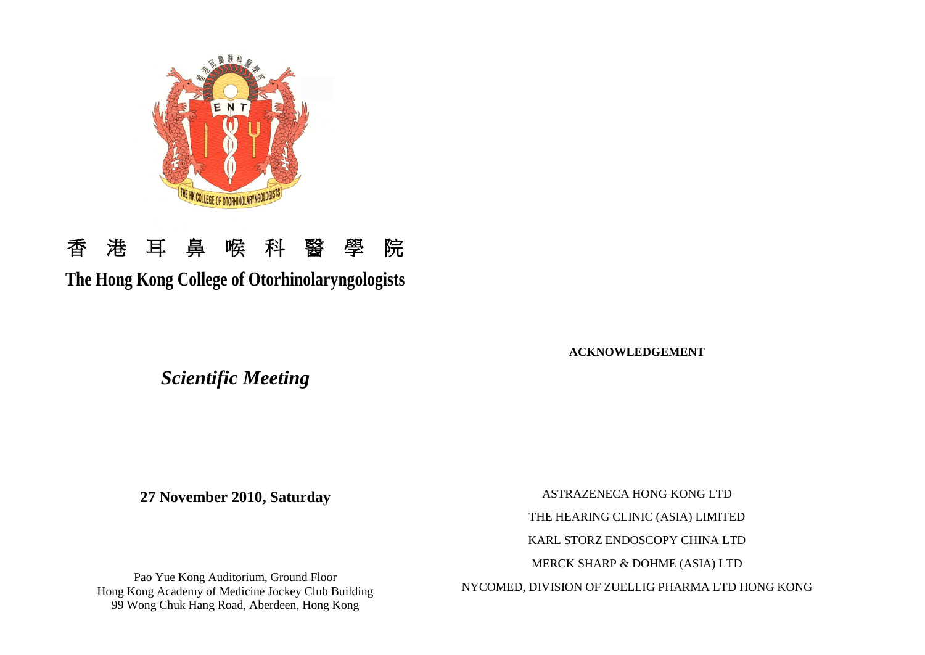

# 香港耳鼻喉科醫學院

## **The Hong Kong College of Otorhinolaryngologists**

**ACKNOWLEDGEMENT**

*Scientific Meeting*

**27 November 2010, Saturday**

ASTRAZENECA HONG KONG LTD THE HEARING CLINIC (ASIA) LIMITED KARL STORZ ENDOSCOPY CHINA LTD MERCK SHARP & DOHME (ASIA) LTD NYCOMED, DIVISION OF ZUELLIG PHARMA LTD HONG KONG

Pao Yue Kong Auditorium, Ground Floor Hong Kong Academy of Medicine Jockey Club Building 99 Wong Chuk Hang Road, Aberdeen, Hong Kong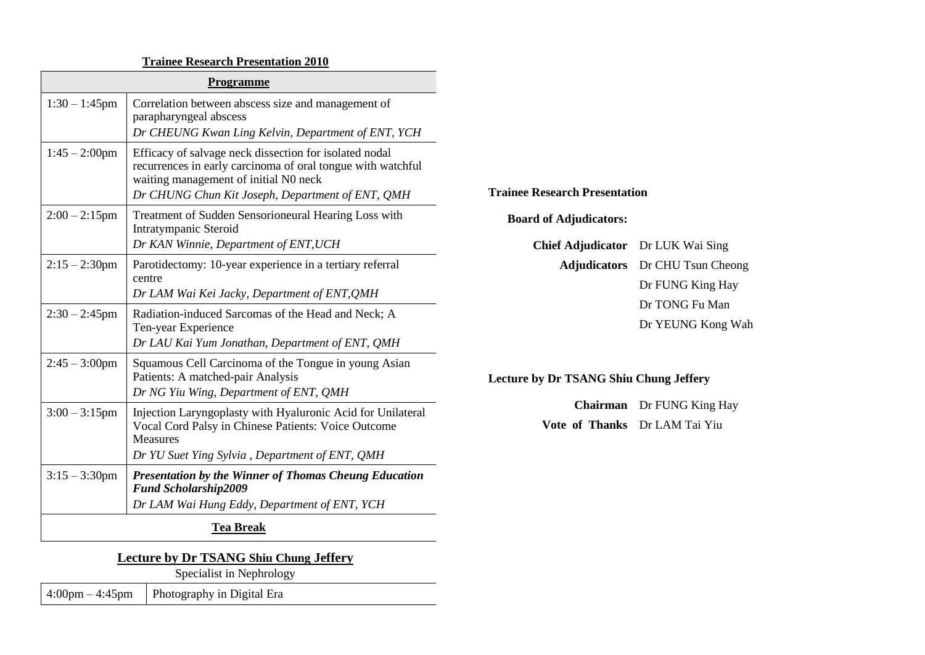## **Trainee Research Presentation 2010**

| Programme        |                                                                                                                                                                                                                    |                                                                           |                                                            |
|------------------|--------------------------------------------------------------------------------------------------------------------------------------------------------------------------------------------------------------------|---------------------------------------------------------------------------|------------------------------------------------------------|
| $1:30 - 1:45$ pm | Correlation between abscess size and management of<br>parapharyngeal abscess<br>Dr CHEUNG Kwan Ling Kelvin, Department of ENT, YCH                                                                                 |                                                                           |                                                            |
| $1:45 - 2:00$ pm | Efficacy of salvage neck dissection for isolated nodal<br>recurrences in early carcinoma of oral tongue with watchful<br>waiting management of initial N0 neck<br>Dr CHUNG Chun Kit Joseph, Department of ENT, QMH | <b>Trainee Research Presentation</b>                                      |                                                            |
| $2:00 - 2:15$ pm | Treatment of Sudden Sensorioneural Hearing Loss with<br>Intratympanic Steroid<br>Dr KAN Winnie, Department of ENT, UCH                                                                                             | <b>Board of Adjudicators:</b><br><b>Chief Adjudicator</b> Dr LUK Wai Sing |                                                            |
| $2:15 - 2:30$ pm | Parotidectomy: 10-year experience in a tertiary referral<br>centre<br>Dr LAM Wai Kei Jacky, Department of ENT, QMH                                                                                                 |                                                                           | <b>Adjudicators</b> Dr CHU Tsun Cheong<br>Dr FUNG King Hay |
| $2:30 - 2:45$ pm | Radiation-induced Sarcomas of the Head and Neck; A<br>Ten-year Experience<br>Dr LAU Kai Yum Jonathan, Department of ENT, QMH                                                                                       |                                                                           | Dr TONG Fu Man<br>Dr YEUNG Kong Wah                        |
| $2:45 - 3:00$ pm | Squamous Cell Carcinoma of the Tongue in young Asian<br>Patients: A matched-pair Analysis<br>Dr NG Yiu Wing, Department of ENT, QMH                                                                                | <b>Lecture by Dr TSANG Shiu Chung Jeffery</b>                             |                                                            |
| $3:00 - 3:15$ pm | Injection Laryngoplasty with Hyaluronic Acid for Unilateral<br>Vocal Cord Palsy in Chinese Patients: Voice Outcome<br>Measures<br>Dr YU Suet Ying Sylvia, Department of ENT, QMH                                   | Vote of Thanks Dr LAM Tai Yiu                                             | <b>Chairman</b> Dr FUNG King Hay                           |
| $3:15 - 3:30$ pm | <b>Presentation by the Winner of Thomas Cheung Education</b><br><b>Fund Scholarship2009</b><br>Dr LAM Wai Hung Eddy, Department of ENT, YCH                                                                        |                                                                           |                                                            |
|                  | <b>Tea Break</b>                                                                                                                                                                                                   |                                                                           |                                                            |
|                  |                                                                                                                                                                                                                    |                                                                           |                                                            |

## **Lecture by Dr TSANG Shiu Chung Jeffery**

Specialist in Nephrology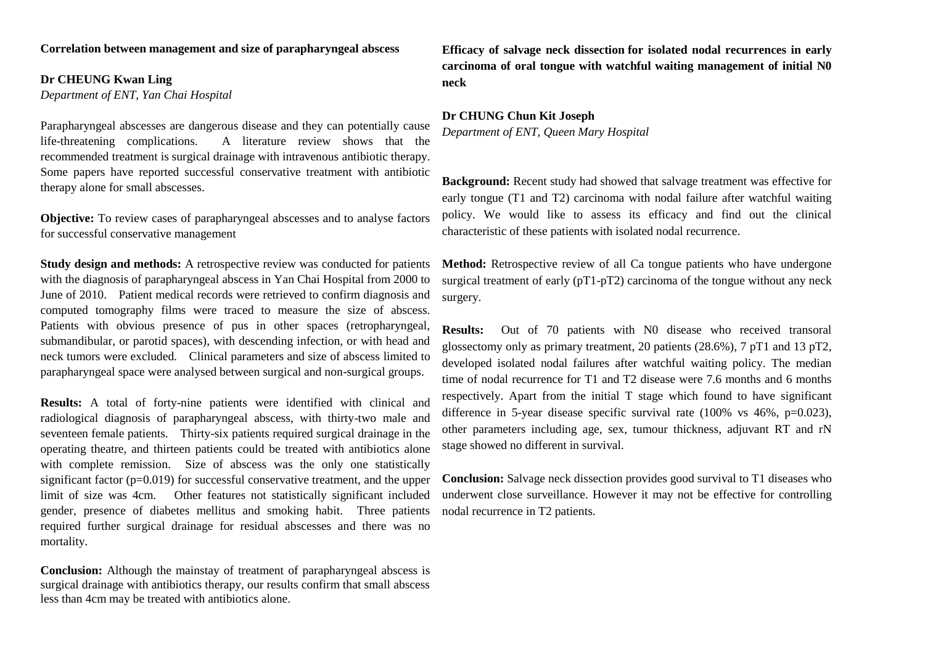**Dr CHEUNG Kwan Ling** *Department of ENT, Yan Chai Hospital*

Parapharyngeal abscesses are dangerous disease and they can potentially cause life-threatening complications. A literature review shows that the recommended treatment is surgical drainage with intravenous antibiotic therapy. Some papers have reported successful conservative treatment with antibiotic therapy alone for small abscesses.

**Objective:** To review cases of parapharyngeal abscesses and to analyse factors for successful conservative management

**Study design and methods:** A retrospective review was conducted for patients with the diagnosis of parapharyngeal abscess in Yan Chai Hospital from 2000 to June of 2010. Patient medical records were retrieved to confirm diagnosis and computed tomography films were traced to measure the size of abscess. Patients with obvious presence of pus in other spaces (retropharyngeal, submandibular, or parotid spaces), with descending infection, or with head and neck tumors were excluded. Clinical parameters and size of abscess limited to parapharyngeal space were analysed between surgical and non-surgical groups.

**Results:** A total of forty-nine patients were identified with clinical and radiological diagnosis of parapharyngeal abscess, with thirty-two male and seventeen female patients. Thirty-six patients required surgical drainage in the operating theatre, and thirteen patients could be treated with antibiotics alone with complete remission. Size of abscess was the only one statistically significant factor  $(p=0.019)$  for successful conservative treatment, and the upper limit of size was 4cm. Other features not statistically significant included gender, presence of diabetes mellitus and smoking habit. Three patients required further surgical drainage for residual abscesses and there was no mortality.

**Conclusion:** Although the mainstay of treatment of parapharyngeal abscess is surgical drainage with antibiotics therapy, our results confirm that small abscess less than 4cm may be treated with antibiotics alone.

**Efficacy of salvage neck dissection for isolated nodal recurrences in early carcinoma of oral tongue with watchful waiting management of initial N0 neck**

#### **Dr CHUNG Chun Kit Joseph** *Department of ENT, Queen Mary Hospital*

**Background:** Recent study had showed that salvage treatment was effective for early tongue (T1 and T2) carcinoma with nodal failure after watchful waiting policy. We would like to assess its efficacy and find out the clinical characteristic of these patients with isolated nodal recurrence.

**Method:** Retrospective review of all Ca tongue patients who have undergone surgical treatment of early ( $pT1-pT2$ ) carcinoma of the tongue without any neck surgery.

**Results:** Out of 70 patients with N0 disease who received transoral glossectomy only as primary treatment, 20 patients (28.6%), 7 pT1 and 13 pT2, developed isolated nodal failures after watchful waiting policy. The median time of nodal recurrence for T1 and T2 disease were 7.6 months and 6 months respectively. Apart from the initial T stage which found to have significant difference in 5-year disease specific survival rate  $(100\% \text{ vs } 46\%, \text{ p=0.023}),$ other parameters including age, sex, tumour thickness, adjuvant RT and rN stage showed no different in survival.

**Conclusion:** Salvage neck dissection provides good survival to T1 diseases who underwent close surveillance. However it may not be effective for controlling nodal recurrence in T2 patients.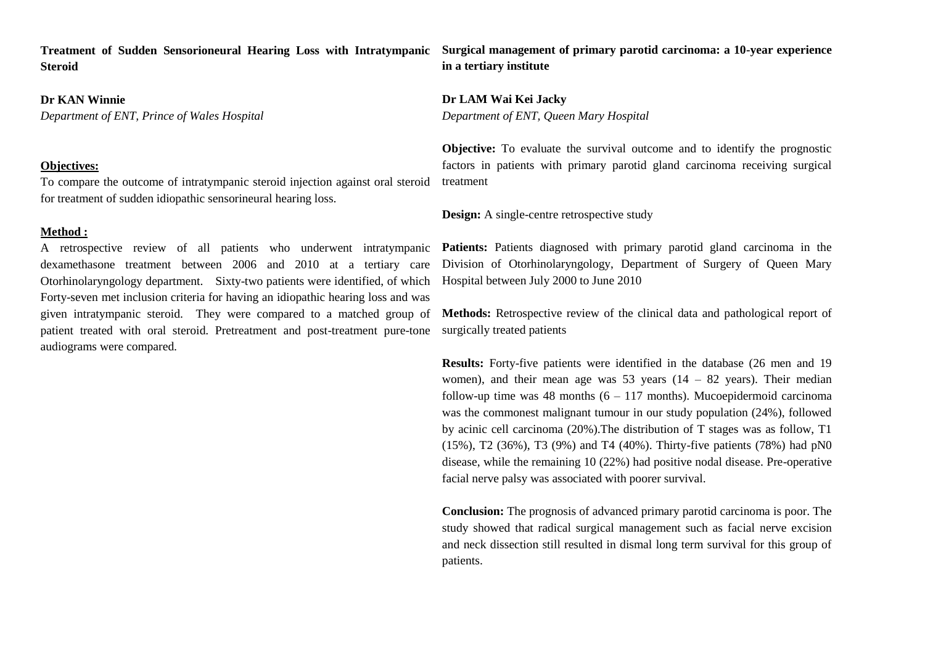**Treatment of Sudden Sensorioneural Hearing Loss with Intratympanic Steroid**

#### **Dr KAN Winnie**

*Department of ENT, Prince of Wales Hospital*

#### **Objectives:**

To compare the outcome of intratympanic steroid injection against oral steroid for treatment of sudden idiopathic sensorineural hearing loss.

#### **Method :**

A retrospective review of all patients who underwent intratympanic dexamethasone treatment between 2006 and 2010 at a tertiary care Otorhinolaryngology department. Sixty-two patients were identified, of which Forty-seven met inclusion criteria for having an idiopathic hearing loss and was given intratympanic steroid. They were compared to a matched group of patient treated with oral steroid. Pretreatment and post-treatment pure-tone audiograms were compared.

**Surgical management of primary parotid carcinoma: a 10-year experience in a tertiary institute**

**Dr LAM Wai Kei Jacky** *Department of ENT, Queen Mary Hospital*

**Objective:** To evaluate the survival outcome and to identify the prognostic factors in patients with primary parotid gland carcinoma receiving surgical treatment

**Design:** A single-centre retrospective study

Patients: Patients diagnosed with primary parotid gland carcinoma in the Division of Otorhinolaryngology, Department of Surgery of Queen Mary Hospital between July 2000 to June 2010

**Methods:** Retrospective review of the clinical data and pathological report of surgically treated patients

**Results:** Forty-five patients were identified in the database (26 men and 19 women), and their mean age was 53 years  $(14 - 82 \text{ years})$ . Their median follow-up time was 48 months  $(6 - 117 \text{ months})$ . Mucoepidermoid carcinoma was the commonest malignant tumour in our study population (24%), followed by acinic cell carcinoma (20%).The distribution of T stages was as follow, T1 (15%), T2 (36%), T3 (9%) and T4 (40%). Thirty-five patients (78%) had pN0 disease, while the remaining 10 (22%) had positive nodal disease. Pre-operative facial nerve palsy was associated with poorer survival.

**Conclusion:** The prognosis of advanced primary parotid carcinoma is poor. The study showed that radical surgical management such as facial nerve excision and neck dissection still resulted in dismal long term survival for this group of patients.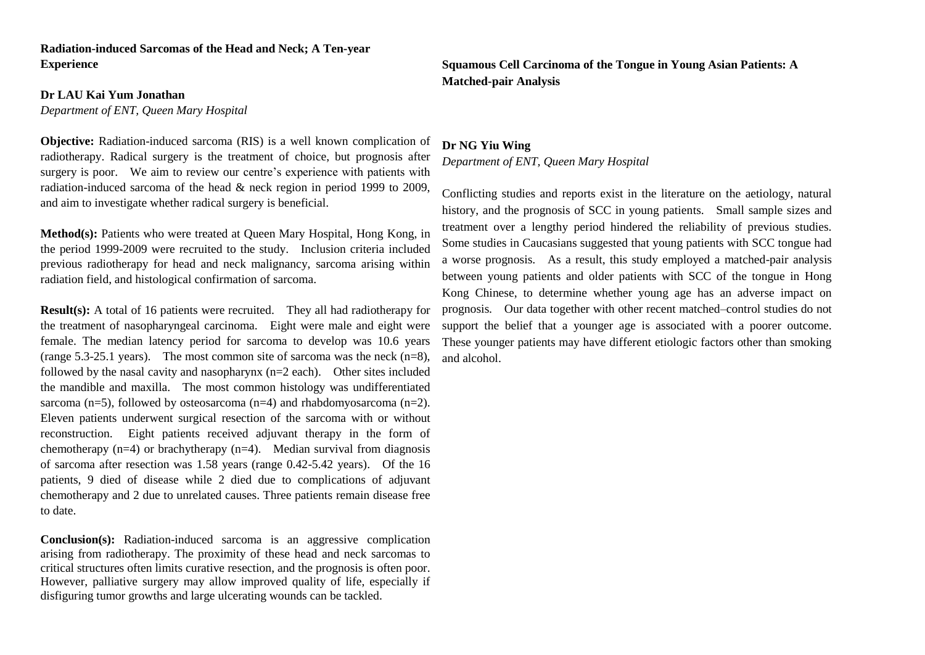### **Radiation-induced Sarcomas of the Head and Neck; A Ten-year Experience**

#### **Dr LAU Kai Yum Jonathan**

*Department of ENT, Queen Mary Hospital*

**Objective:** Radiation-induced sarcoma (RIS) is a well known complication of radiotherapy. Radical surgery is the treatment of choice, but prognosis after surgery is poor. We aim to review our centre's experience with patients with radiation-induced sarcoma of the head & neck region in period 1999 to 2009, and aim to investigate whether radical surgery is beneficial.

**Method(s):** Patients who were treated at Queen Mary Hospital, Hong Kong, in the period 1999-2009 were recruited to the study. Inclusion criteria included previous radiotherapy for head and neck malignancy, sarcoma arising within radiation field, and histological confirmation of sarcoma.

**Result(s):** A total of 16 patients were recruited. They all had radiotherapy for the treatment of nasopharyngeal carcinoma. Eight were male and eight were female. The median latency period for sarcoma to develop was 10.6 years (range 5.3-25.1 years). The most common site of sarcoma was the neck  $(n=8)$ , followed by the nasal cavity and nasopharynx  $(n=2 \text{ each})$ . Other sites included the mandible and maxilla. The most common histology was undifferentiated sarcoma (n=5), followed by osteosarcoma (n=4) and rhabdomyosarcoma (n=2). Eleven patients underwent surgical resection of the sarcoma with or without reconstruction. Eight patients received adjuvant therapy in the form of chemotherapy  $(n=4)$  or brachytherapy  $(n=4)$ . Median survival from diagnosis of sarcoma after resection was 1.58 years (range 0.42-5.42 years). Of the 16 patients, 9 died of disease while 2 died due to complications of adjuvant chemotherapy and 2 due to unrelated causes. Three patients remain disease free to date.

**Conclusion(s):** Radiation-induced sarcoma is an aggressive complication arising from radiotherapy. The proximity of these head and neck sarcomas to critical structures often limits curative resection, and the prognosis is often poor. However, palliative surgery may allow improved quality of life, especially if disfiguring tumor growths and large ulcerating wounds can be tackled.

**Squamous Cell Carcinoma of the Tongue in Young Asian Patients: A Matched-pair Analysis**

#### **Dr NG Yiu Wing**

*Department of ENT, Queen Mary Hospital*

Conflicting studies and reports exist in the literature on the aetiology, natural history, and the prognosis of SCC in young patients. Small sample sizes and treatment over a lengthy period hindered the reliability of previous studies. Some studies in Caucasians suggested that young patients with SCC tongue had a worse prognosis. As a result, this study employed a matched-pair analysis between young patients and older patients with SCC of the tongue in Hong Kong Chinese, to determine whether young age has an adverse impact on prognosis. Our data together with other recent matched–control studies do not support the belief that a younger age is associated with a poorer outcome. These younger patients may have different etiologic factors other than smoking and alcohol.